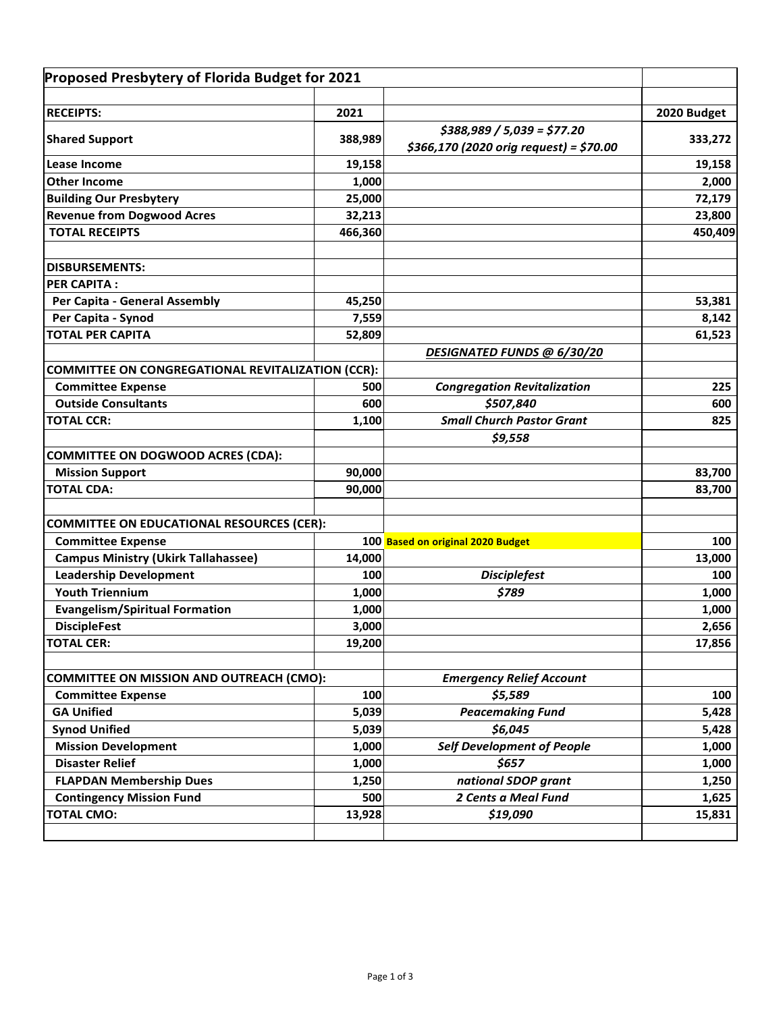| Proposed Presbytery of Florida Budget for 2021           |         |                                          |             |
|----------------------------------------------------------|---------|------------------------------------------|-------------|
| <b>RECEIPTS:</b>                                         | 2021    |                                          | 2020 Budget |
|                                                          |         | $$388,989 / 5,039 = $77.20$              |             |
| <b>Shared Support</b>                                    | 388,989 | $$366,170$ (2020 orig request) = \$70.00 | 333,272     |
| <b>Lease Income</b>                                      | 19,158  |                                          | 19,158      |
| <b>Other Income</b>                                      | 1,000   |                                          | 2,000       |
| <b>Building Our Presbytery</b>                           | 25,000  |                                          | 72,179      |
| <b>Revenue from Dogwood Acres</b>                        | 32,213  |                                          | 23,800      |
| <b>TOTAL RECEIPTS</b>                                    | 466,360 |                                          | 450,409     |
| <b>DISBURSEMENTS:</b>                                    |         |                                          |             |
| <b>PER CAPITA:</b>                                       |         |                                          |             |
| Per Capita - General Assembly                            | 45,250  |                                          | 53,381      |
| Per Capita - Synod                                       | 7,559   |                                          | 8,142       |
| <b>TOTAL PER CAPITA</b>                                  | 52,809  |                                          | 61,523      |
|                                                          |         | DESIGNATED FUNDS @ 6/30/20               |             |
| <b>COMMITTEE ON CONGREGATIONAL REVITALIZATION (CCR):</b> |         |                                          |             |
| <b>Committee Expense</b>                                 | 500     | <b>Congregation Revitalization</b>       | 225         |
| <b>Outside Consultants</b>                               | 600     | \$507,840                                | 600         |
| <b>TOTAL CCR:</b>                                        | 1,100   | <b>Small Church Pastor Grant</b>         | 825         |
|                                                          |         | \$9,558                                  |             |
| <b>COMMITTEE ON DOGWOOD ACRES (CDA):</b>                 |         |                                          |             |
| <b>Mission Support</b>                                   | 90,000  |                                          | 83,700      |
| <b>TOTAL CDA:</b>                                        | 90,000  |                                          | 83,700      |
| <b>COMMITTEE ON EDUCATIONAL RESOURCES (CER):</b>         |         |                                          |             |
| <b>Committee Expense</b>                                 |         | 100 Based on original 2020 Budget        | 100         |
| <b>Campus Ministry (Ukirk Tallahassee)</b>               | 14,000  |                                          | 13,000      |
| <b>Leadership Development</b>                            | 100     | <b>Disciplefest</b>                      | 100         |
| <b>Youth Triennium</b>                                   | 1,000   | \$789                                    | 1,000       |
| <b>Evangelism/Spiritual Formation</b>                    | 1,000   |                                          | 1,000       |
| <b>DiscipleFest</b>                                      | 3,000   |                                          | 2,656       |
| TOTAL CER:                                               | 19,200  |                                          | 17,856      |
| <b>COMMITTEE ON MISSION AND OUTREACH (CMO):</b>          |         | <b>Emergency Relief Account</b>          |             |
| <b>Committee Expense</b>                                 | 100     | \$5,589                                  | 100         |
| <b>GA Unified</b>                                        | 5,039   | <b>Peacemaking Fund</b>                  | 5,428       |
| <b>Synod Unified</b>                                     | 5,039   | \$6,045                                  | 5,428       |
| <b>Mission Development</b>                               | 1,000   | <b>Self Development of People</b>        | 1,000       |
| <b>Disaster Relief</b>                                   | 1,000   | \$657                                    | 1,000       |
| <b>FLAPDAN Membership Dues</b>                           | 1,250   | national SDOP grant                      | 1,250       |
| <b>Contingency Mission Fund</b>                          | 500     | 2 Cents a Meal Fund                      | 1,625       |
| <b>TOTAL CMO:</b>                                        | 13,928  | \$19,090                                 | 15,831      |
|                                                          |         |                                          |             |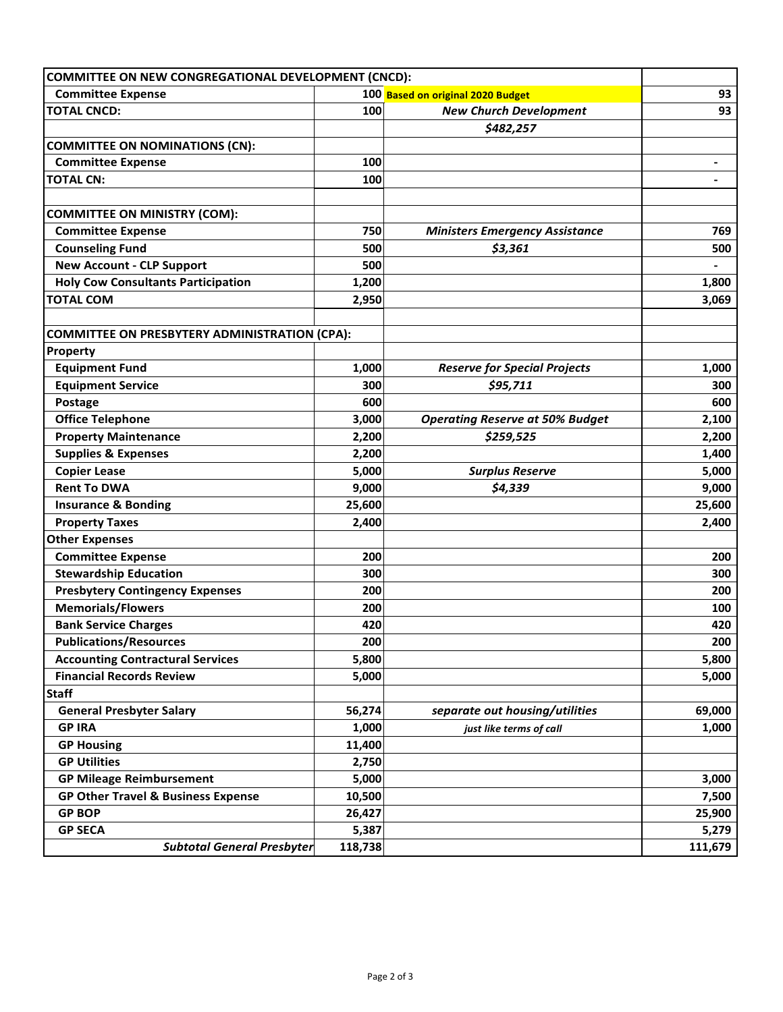| <b>COMMITTEE ON NEW CONGREGATIONAL DEVELOPMENT (CNCD):</b> |         |                                        |                          |
|------------------------------------------------------------|---------|----------------------------------------|--------------------------|
| <b>Committee Expense</b>                                   |         | 100 Based on original 2020 Budget      | 93                       |
| <b>TOTAL CNCD:</b>                                         | 100     | <b>New Church Development</b>          | 93                       |
|                                                            |         | \$482,257                              |                          |
| <b>COMMITTEE ON NOMINATIONS (CN):</b>                      |         |                                        |                          |
| <b>Committee Expense</b>                                   | 100     |                                        | -                        |
| <b>TOTAL CN:</b>                                           | 100     |                                        | $\overline{\phantom{0}}$ |
|                                                            |         |                                        |                          |
| <b>COMMITTEE ON MINISTRY (COM):</b>                        |         |                                        |                          |
| <b>Committee Expense</b>                                   | 750     | <b>Ministers Emergency Assistance</b>  | 769                      |
| <b>Counseling Fund</b>                                     | 500     | \$3,361                                | 500                      |
| <b>New Account - CLP Support</b>                           | 500     |                                        |                          |
| <b>Holy Cow Consultants Participation</b>                  | 1,200   |                                        | 1,800                    |
| <b>TOTAL COM</b>                                           | 2,950   |                                        | 3,069                    |
|                                                            |         |                                        |                          |
| <b>COMMITTEE ON PRESBYTERY ADMINISTRATION (CPA):</b>       |         |                                        |                          |
| Property                                                   |         |                                        |                          |
| <b>Equipment Fund</b>                                      | 1,000   | <b>Reserve for Special Projects</b>    | 1,000                    |
| <b>Equipment Service</b>                                   | 300     | \$95,711                               | 300                      |
| Postage                                                    | 600     |                                        | 600                      |
| <b>Office Telephone</b>                                    | 3,000   | <b>Operating Reserve at 50% Budget</b> | 2,100                    |
| <b>Property Maintenance</b>                                | 2,200   | \$259,525                              | 2,200                    |
| <b>Supplies &amp; Expenses</b>                             | 2,200   |                                        | 1,400                    |
| <b>Copier Lease</b>                                        | 5,000   | <b>Surplus Reserve</b>                 | 5,000                    |
| <b>Rent To DWA</b>                                         | 9,000   | \$4,339                                | 9,000                    |
| <b>Insurance &amp; Bonding</b>                             | 25,600  |                                        | 25,600                   |
| <b>Property Taxes</b>                                      | 2,400   |                                        | 2,400                    |
| <b>Other Expenses</b>                                      |         |                                        |                          |
| <b>Committee Expense</b>                                   | 200     |                                        | 200                      |
| <b>Stewardship Education</b>                               | 300     |                                        | 300                      |
| <b>Presbytery Contingency Expenses</b>                     | 200     |                                        | 200                      |
| <b>Memorials/Flowers</b>                                   | 200     |                                        | 100                      |
| <b>Bank Service Charges</b>                                | 420     |                                        | 420                      |
| <b>Publications/Resources</b>                              | 200     |                                        | 200                      |
| <b>Accounting Contractural Services</b>                    | 5,800   |                                        | 5,800                    |
| <b>Financial Records Review</b>                            | 5,000   |                                        | 5,000                    |
| <b>Staff</b>                                               |         |                                        |                          |
| <b>General Presbyter Salary</b>                            | 56,274  | separate out housing/utilities         | 69,000                   |
| <b>GP IRA</b>                                              | 1,000   | just like terms of call                | 1,000                    |
| <b>GP Housing</b>                                          | 11,400  |                                        |                          |
| <b>GP Utilities</b>                                        | 2,750   |                                        |                          |
| <b>GP Mileage Reimbursement</b>                            | 5,000   |                                        | 3,000                    |
| <b>GP Other Travel &amp; Business Expense</b>              | 10,500  |                                        | 7,500                    |
| <b>GP BOP</b>                                              | 26,427  |                                        | 25,900                   |
| <b>GP SECA</b>                                             | 5,387   |                                        | 5,279                    |
| <b>Subtotal General Presbyter</b>                          | 118,738 |                                        | 111,679                  |